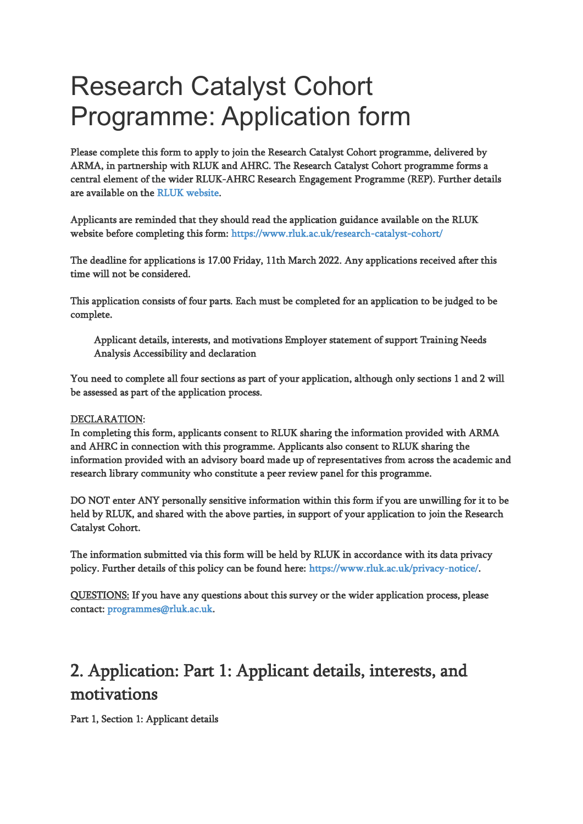# Research Catalyst Cohort Programme: Application form

Please complete this form to apply to join the Research Catalyst Cohort programme, delivered by ARMA, in partnership with RLUK and AHRC. The Research Catalyst Cohort programme forms a central element of the wider RLUK-AHRC Research Engagement Programme (REP). Further details are available on the [RLUK website.](https://www.rluk.ac.uk/rluk-ahrc-rep/)

Applicants are reminded that they should read the application guidance available on the RLUK website before completing this form:<https://www.rluk.ac.uk/research-catalyst-cohort/>

The deadline for applications is 17.00 Friday, 11th March 2022. Any applications received after this time will not be considered.

This application consists of four parts. Each must be completed for an application to be judged to be complete.

Applicant details, interests, and motivations Employer statement of support Training Needs Analysis Accessibility and declaration

You need to complete all four sections as part of your application, although only sections 1 and 2 will be assessed as part of the application process.

#### DECLARATION:

In completing this form, applicants consent to RLUK sharing the information provided with ARMA and AHRC in connection with this programme. Applicants also consent to RLUK sharing the information provided with an advisory board made up of representatives from across the academic and research library community who constitute a peer review panel for this programme.

DO NOT enter ANY personally sensitive information within this form if you are unwilling for it to be held by RLUK, and shared with the above parties, in support of your application to join the Research Catalyst Cohort.

The information submitted via this form will be held by RLUK in accordance with its data privacy policy. Further details of this policy can be found here: [https://www.rluk.ac.uk/privacy-notice/.](https://www.rluk.ac.uk/privacy-notice/)

QUESTIONS: If you have any questions about this survey or the wider application process, please contact[: programmes@rluk.ac.uk.](mailto:programmes@rluk.ac.uk)

# 2. Application: Part 1: Applicant details, interests, and motivations

Part 1, Section 1: Applicant details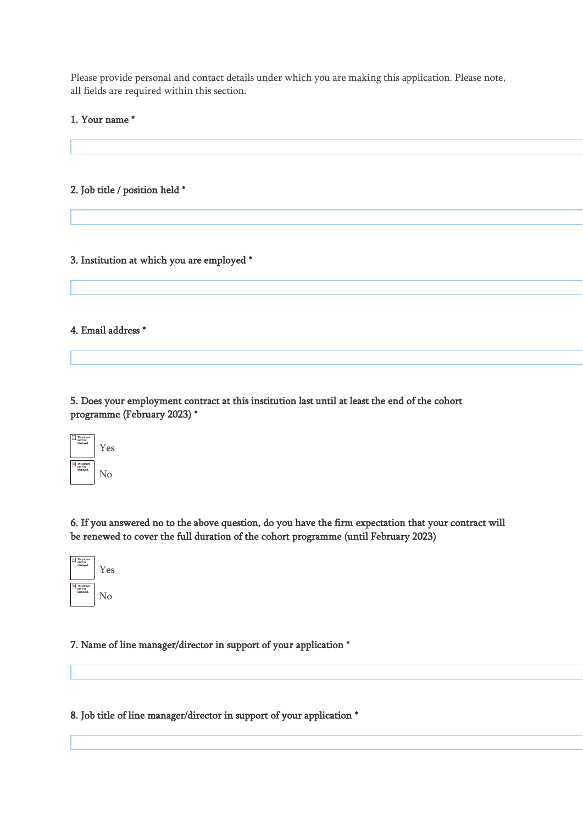Please provide personal and contact details under which you are making this application. Please note, all fields are required within this section.

#### 1. Your name \*

#### 2. Job title / position held \*

#### 3. Institution at which you are employed \*

#### 4. Email address \*

5. Does your employment contract at this institution last until at least the end of the cohort programme (February 2023) \*



6. If you answered no to the above question, do you have the firm expectation that your contract will be renewed to cover the full duration of the cohort programme (until February 2023)



#### 7. Name of line manager/director in support of your application \*

8. Job title of line manager/director in support of your application \*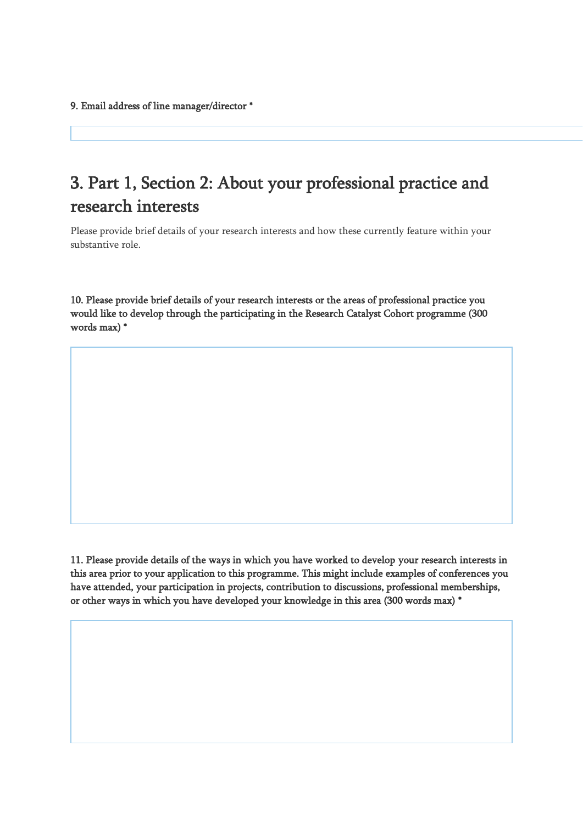# 3. Part 1, Section 2: About your professional practice and research interests

Please provide brief details of your research interests and how these currently feature within your substantive role.

10. Please provide brief details of your research interests or the areas of professional practice you would like to develop through the participating in the Research Catalyst Cohort programme (300 words max) \*

11. Please provide details of the ways in which you have worked to develop your research interests in this area prior to your application to this programme. This might include examples of conferences you have attended, your participation in projects, contribution to discussions, professional memberships, or other ways in which you have developed your knowledge in this area (300 words max) \*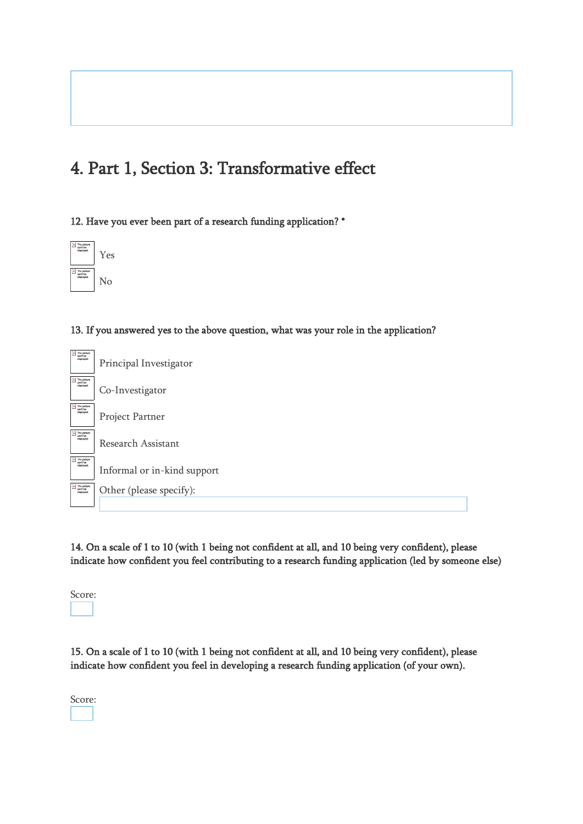# 4. Part 1, Section 3: Transformative effect

12. Have you ever been part of a research funding application? \*



13. If you answered yes to the above question, what was your role in the application?

| $\frac{\mathbf{x}}{\mathbf{x}}$ The picture<br>can't be<br>displayed.                                                     | Principal Investigator      |
|---------------------------------------------------------------------------------------------------------------------------|-----------------------------|
| $\frac{\mathbf{x}}{\mathbf{a}}$ The picture<br>can't be<br>displayed.                                                     | Co-Investigator             |
| $\overline{\mathbf{x}}$ The picture<br>can't be<br>displayed.                                                             | Project Partner             |
| The picture<br>can't be<br>displayed                                                                                      | Research Assistant          |
| $\overline{\mathbf{x}}$ The picture<br>displayed.                                                                         | Informal or in-kind support |
| $\begin{array}{ c c }\n\hline\n\text{X} & \text{The picture} \\ \text{can't be} & \text{displaced.}\n\hline\n\end{array}$ | Other (please specify):     |
|                                                                                                                           |                             |

14. On a scale of 1 to 10 (with 1 being not confident at all, and 10 being very confident), please indicate how confident you feel contributing to a research funding application (led by someone else)



15. On a scale of 1 to 10 (with 1 being not confident at all, and 10 being very confident), please indicate how confident you feel in developing a research funding application (of your own).

Score: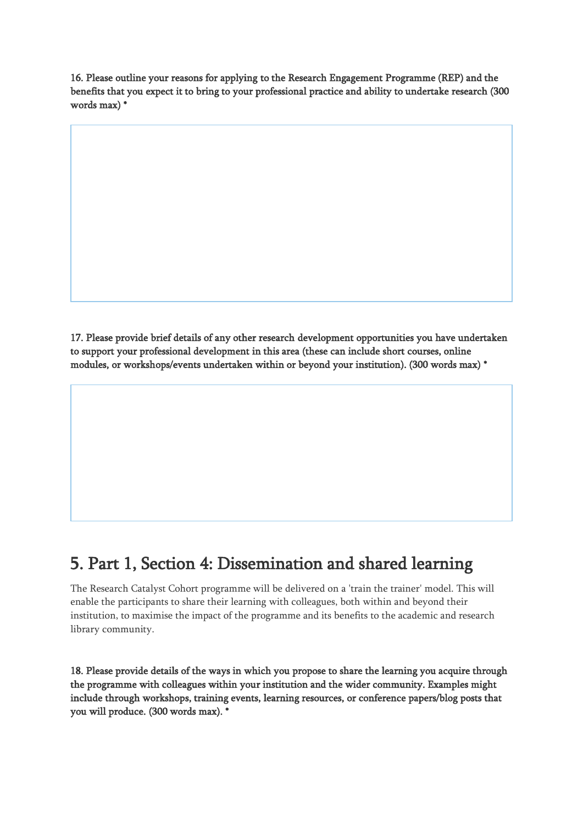16. Please outline your reasons for applying to the Research Engagement Programme (REP) and the benefits that you expect it to bring to your professional practice and ability to undertake research (300 words max) \*

17. Please provide brief details of any other research development opportunities you have undertaken to support your professional development in this area (these can include short courses, online modules, or workshops/events undertaken within or beyond your institution). (300 words max) \*

### 5. Part 1, Section 4: Dissemination and shared learning

The Research Catalyst Cohort programme will be delivered on a 'train the trainer' model. This will enable the participants to share their learning with colleagues, both within and beyond their institution, to maximise the impact of the programme and its benefits to the academic and research library community.

18. Please provide details of the ways in which you propose to share the learning you acquire through the programme with colleagues within your institution and the wider community. Examples might include through workshops, training events, learning resources, or conference papers/blog posts that you will produce. (300 words max). \*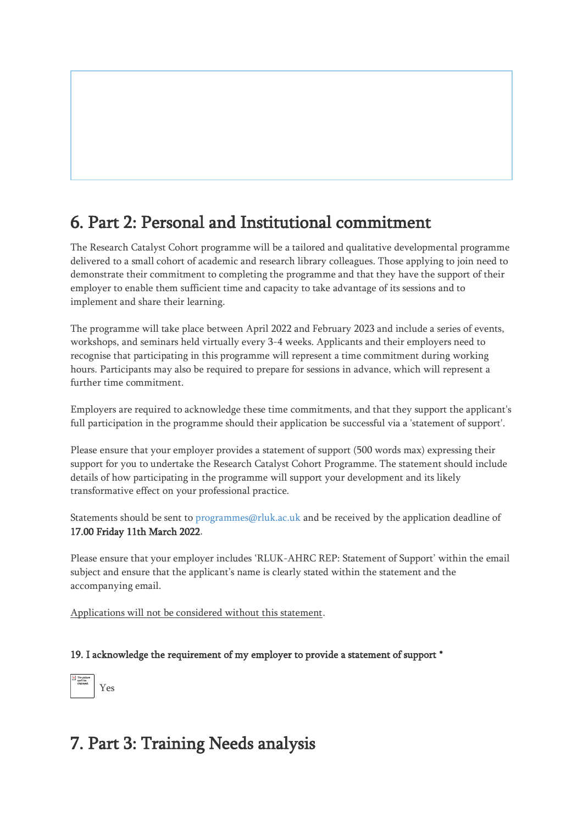# 6. Part 2: Personal and Institutional commitment

The Research Catalyst Cohort programme will be a tailored and qualitative developmental programme delivered to a small cohort of academic and research library colleagues. Those applying to join need to demonstrate their commitment to completing the programme and that they have the support of their employer to enable them sufficient time and capacity to take advantage of its sessions and to implement and share their learning.

The programme will take place between April 2022 and February 2023 and include a series of events, workshops, and seminars held virtually every 3-4 weeks. Applicants and their employers need to recognise that participating in this programme will represent a time commitment during working hours. Participants may also be required to prepare for sessions in advance, which will represent a further time commitment.

Employers are required to acknowledge these time commitments, and that they support the applicant's full participation in the programme should their application be successful via a 'statement of support'.

Please ensure that your employer provides a statement of support (500 words max) expressing their support for you to undertake the Research Catalyst Cohort Programme. The statement should include details of how participating in the programme will support your development and its likely transformative effect on your professional practice.

Statements should be sent to [programmes@rluk.ac.uk](mailto:programmes@rluk.ac.uk?subject=RLUK-AHRC%20REP%3A%20Statement%20of%20Support) and be received by the application deadline of 17.00 Friday 11th March 2022.

Please ensure that your employer includes 'RLUK-AHRC REP: Statement of Support' within the email subject and ensure that the applicant's name is clearly stated within the statement and the accompanying email.

Applications will not be considered without this statement.

19. I acknowledge the requirement of my employer to provide a statement of support \*



# 7. Part 3: Training Needs analysis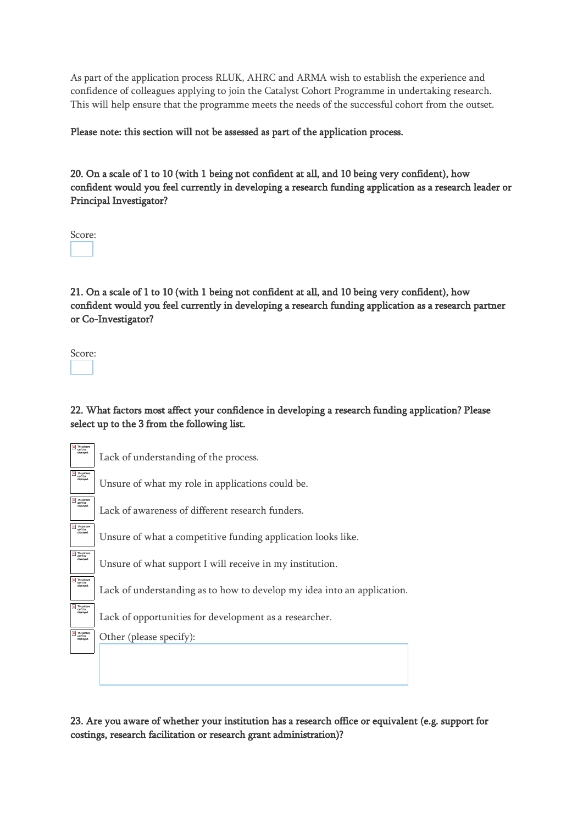As part of the application process RLUK, AHRC and ARMA wish to establish the experience and confidence of colleagues applying to join the Catalyst Cohort Programme in undertaking research. This will help ensure that the programme meets the needs of the successful cohort from the outset.

Please note: this section will not be assessed as part of the application process.

20. On a scale of 1 to 10 (with 1 being not confident at all, and 10 being very confident), how confident would you feel currently in developing a research funding application as a research leader or Principal Investigator?

Score:

21. On a scale of 1 to 10 (with 1 being not confident at all, and 10 being very confident), how confident would you feel currently in developing a research funding application as a research partner or Co-Investigator?

Score:

22. What factors most affect your confidence in developing a research funding application? Please select up to the 3 from the following list.

23. Are you aware of whether your institution has a research office or equivalent (e.g. support for costings, research facilitation or research grant administration)?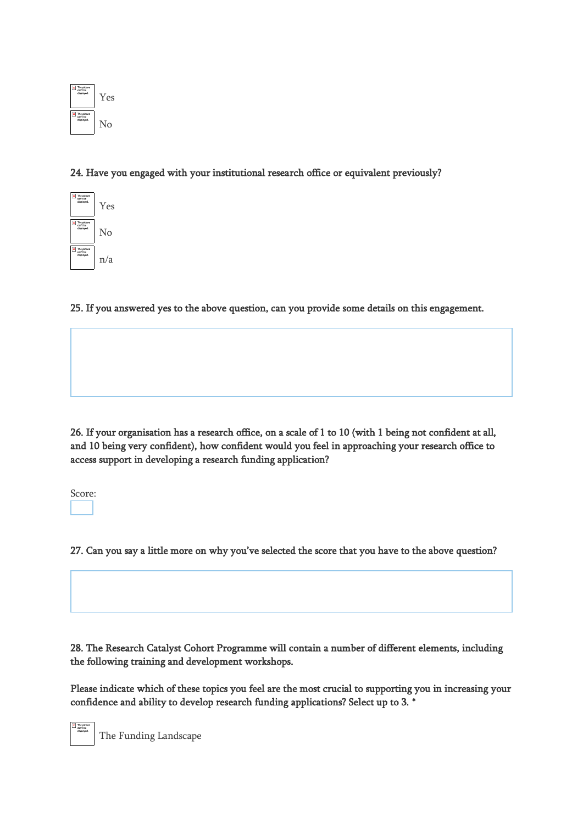

### 24. Have you engaged with your institutional research office or equivalent previously?



25. If you answered yes to the above question, can you provide some details on this engagement.

26. If your organisation has a research office, on a scale of 1 to 10 (with 1 being not confident at all, and 10 being very confident), how confident would you feel in approaching your research office to access support in developing a research funding application?

Score:

27. Can you say a little more on why you've selected the score that you have to the above question?

28. The Research Catalyst Cohort Programme will contain a number of different elements, including the following training and development workshops.

Please indicate which of these topics you feel are the most crucial to supporting you in increasing your confidence and ability to develop research funding applications? Select up to 3. \*

The Funding Landscape

 $\parallel$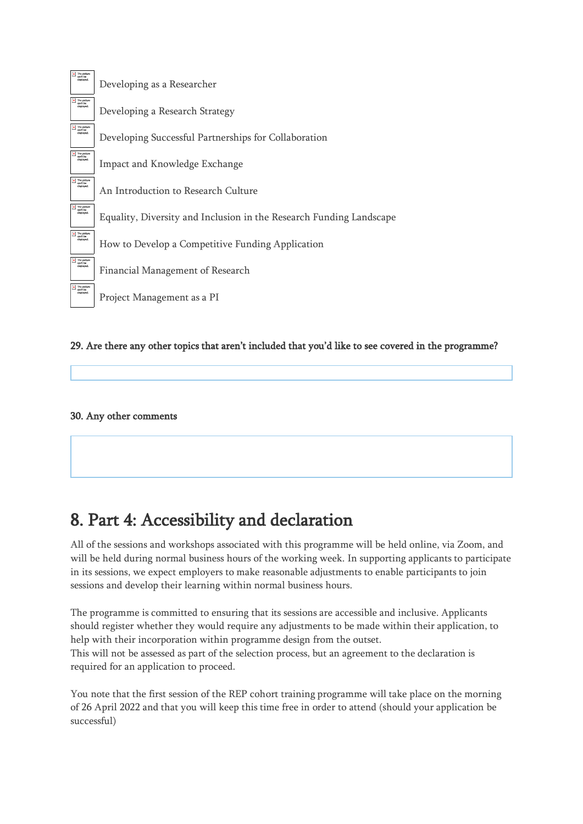

#### 29. Are there any other topics that aren't included that you'd like to see covered in the programme?

### 30. Any other comments

# 8. Part 4: Accessibility and declaration

All of the sessions and workshops associated with this programme will be held online, via Zoom, and will be held during normal business hours of the working week. In supporting applicants to participate in its sessions, we expect employers to make reasonable adjustments to enable participants to join sessions and develop their learning within normal business hours.

The programme is committed to ensuring that its sessions are accessible and inclusive. Applicants should register whether they would require any adjustments to be made within their application, to help with their incorporation within programme design from the outset.

This will not be assessed as part of the selection process, but an agreement to the declaration is required for an application to proceed.

You note that the first session of the REP cohort training programme will take place on the morning of 26 April 2022 and that you will keep this time free in order to attend (should your application be successful)